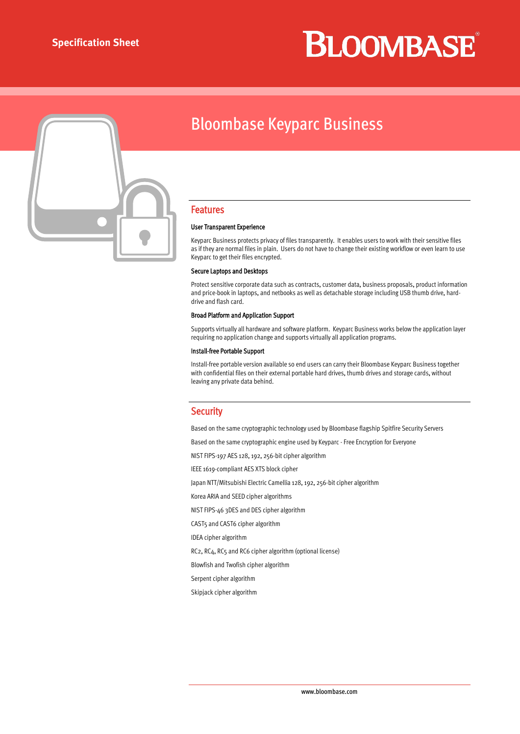# **BLOOMBASE**



### Bloombase Keyparc Business

#### Features

#### User Transparent Experience

Keyparc Business protects privacy of files transparently. It enables users to work with their sensitive files as if they are normal files in plain. Users do not have to change their existing workflow or even learn to use Keyparc to get their files encrypted.

#### Secure Laptops and Desktops

Protect sensitive corporate data such as contracts, customer data, business proposals, product information and price-book in laptops, and netbooks as well as detachable storage including USB thumb drive, harddrive and flash card.

#### Broad Platform and Application Support

Supports virtually all hardware and software platform. Keyparc Business works below the application layer requiring no application change and supports virtually all application programs.

#### Install-free Portable Support

Install-free portable version available so end users can carry their Bloombase Keyparc Business together with confidential files on their external portable hard drives, thumb drives and storage cards, without leaving any private data behind.

#### **Security**

Based on the same cryptographic technology used by Bloombase flagship Spitfire Security Servers

Based on the same cryptographic engine used by Keyparc - Free Encryption for Everyone

NIST FIPS-197 AES 128, 192, 256-bit cipher algorithm

IEEE 1619-compliant AES XTS block cipher

Japan NTT/Mitsubishi Electric Camellia 128, 192, 256-bit cipher algorithm

Korea ARIA and SEED cipher algorithms

NIST FIPS-46 3DES and DES cipher algorithm

CAST5 and CAST6 cipher algorithm

IDEA cipher algorithm

RC2, RC4, RC5 and RC6 cipher algorithm (optional license)

Blowfish and Twofish cipher algorithm

Serpent cipher algorithm

Skipjack cipher algorithm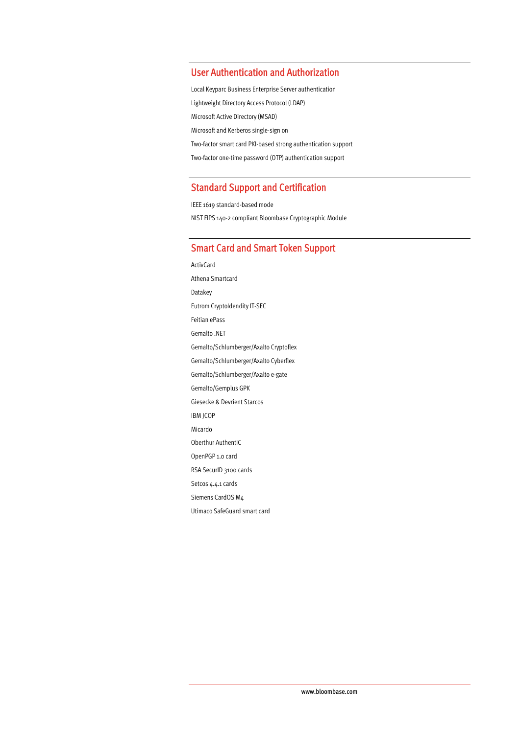#### User Authentication and Authorization

Local Keyparc Business Enterprise Server authentication Lightweight Directory Access Protocol (LDAP) Microsoft Active Directory (MSAD) Microsoft and Kerberos single-sign on Two-factor smart card PKI-based strong authentication support Two-factor one-time password (OTP) authentication support

#### Standard Support and Certification

IEEE 1619 standard-based mode NIST FIPS 140-2 compliant Bloombase Cryptographic Module

#### Smart Card and Smart Token Support

ActivCard Athena Smartcard Datakey Eutrom CryptoIdendity IT-SEC Feitian ePass Gemalto .NET Gemalto/Schlumberger/Axalto Cryptoflex Gemalto/Schlumberger/Axalto Cyberflex Gemalto/Schlumberger/Axalto e-gate Gemalto/Gemplus GPK Giesecke & Devrient Starcos IBM JCOP Micardo Oberthur AuthentIC OpenPGP 1.0 card RSA SecurID 3100 cards Setcos 4.4.1 cards Siemens CardOS M4 Utimaco SafeGuard smart card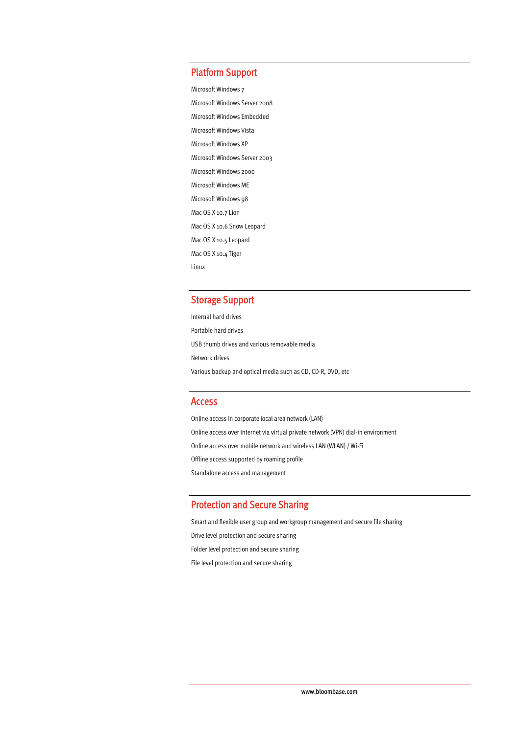#### Platform Support

Microsoft Windows 7 Microsoft Windows Server 2008 Microsoft Windows Embedded Microsoft Windows Vista Microsoft Windows XP Microsoft Windows Server 2003 Microsoft Windows 2000 Microsoft Windows ME Microsoft Windows 98 Mac OS X 10.7 Lion Mac OS X 10.6 Snow Leopard Mac OS X 10.5 Leopard Mac OS X 10.4 Tiger Linux

#### Storage Support

Internal hard drives Portable hard drives USB thumb drives and various removable media Network drives Various backup and optical media such as CD, CD-R, DVD, etc

#### Access

Online access in corporate local area network (LAN) Online access over Internet via virtual private network (VPN) dial-in environment Online access over mobile network and wireless LAN (WLAN) / Wi-Fi Offline access supported by roaming profile Standalone access and management

#### Protection and Secure Sharing

Smart and flexible user group and workgroup management and secure file sharing Drive level protection and secure sharing Folder level protection and secure sharing File level protection and secure sharing